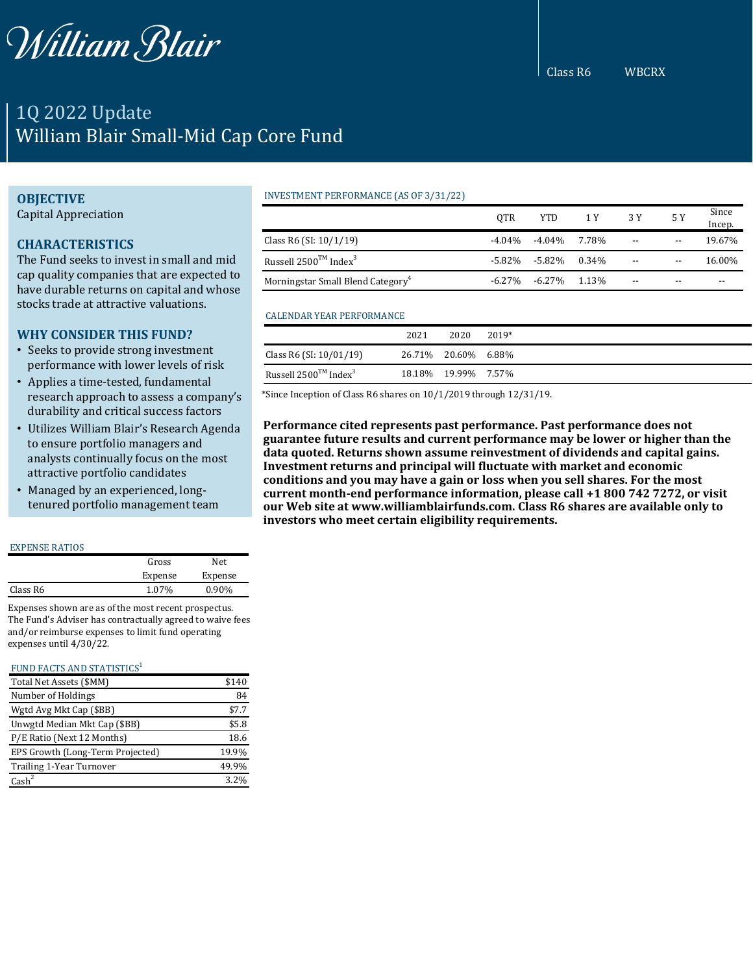

# 1Q 2022 Update William Blair Small-Mid Cap Core Fund

## **OBJECTIVE**

Capital Appreciation

# **CHARACTERISTICS**

The Fund seeks to invest in small and mid cap quality companies that are expected to have durable returns on capital and whose stocks trade at attractive valuations.

# **WHY CONSIDER THIS FUND?**

- Seeks to provide strong investment performance with lower levels of risk
- Applies a time-tested, fundamental research approach to assess a company's durability and critical success factors
- Utilizes William Blair's Research Agenda to ensure portfolio managers and analysts continually focus on the most attractive portfolio candidates
- Managed by an experienced, longtenured portfolio management team

#### EXPENSE RATIOS

|          | Gross   | Net.     |  |
|----------|---------|----------|--|
|          | Expense | Expense  |  |
| Class R6 | 1.07%   | $0.90\%$ |  |
|          |         |          |  |

Expenses shown are as of the most recent prospectus. The Fund's Adviser has contractually agreed to waive fees and/or reimburse expenses to limit fund operating expenses until 4/30/22.

#### FUND FACTS AND STATISTICS<sup>1</sup>

| Total Net Assets (\$MM)          | \$140 |
|----------------------------------|-------|
| Number of Holdings               | 84    |
| Wgtd Avg Mkt Cap (\$BB)          | \$7.7 |
| Unwgtd Median Mkt Cap (\$BB)     | \$5.8 |
| P/E Ratio (Next 12 Months)       | 18.6  |
| EPS Growth (Long-Term Projected) | 19.9% |
| Trailing 1-Year Turnover         | 49.9% |
| $\text{Cash}^2$                  | 3.2%  |

## INVESTMENT PERFORMANCE (AS OF 3/31/22)

|                                               | <b>OTR</b> | YTD.                      | 1 Y | 3 Y                      | 5 Y   | Since<br>Incep. |
|-----------------------------------------------|------------|---------------------------|-----|--------------------------|-------|-----------------|
| Class R6 (SI: $10/1/19$ )                     | -4.04%     | -4.04% 7.78%              |     | $\overline{\phantom{a}}$ | $- -$ | 19.67%          |
| Russell $2500^{TM}$ Index <sup>3</sup>        |            | $-5.82\% -5.82\% -0.34\%$ |     | $\overline{\phantom{a}}$ | $- -$ | 16.00%          |
| Morningstar Small Blend Category <sup>4</sup> | $-6.27\%$  | $-6.27\%$ 1.13%           |     | $- -$                    | $- -$ | --              |

#### CALENDAR YEAR PERFORMANCE

|                                               | 2021 | 2020                | 2019* |
|-----------------------------------------------|------|---------------------|-------|
| Class R6 (SI: 10/01/19)                       |      | 26.71% 20.60% 6.88% |       |
| Russell 2500 <sup>TM</sup> Index <sup>3</sup> |      | 18.18% 19.99% 7.57% |       |

\*Since Inception of Class R6 shares on 10/1/2019 through 12/31/19.

**Performance cited represents past performance. Past performance does not guarantee future results and current performance may be lower or higher than the data quoted. Returns shown assume reinvestment of dividends and capital gains. Investment returns and principal will fluctuate with market and economic conditions and you may have a gain or loss when you sell shares. For the most current month-end performance information, please call +1 800 742 7272, or visit our Web site at www.williamblairfunds.com. Class R6 shares are available only to investors who meet certain eligibility requirements.**

Class R6 WBCRX